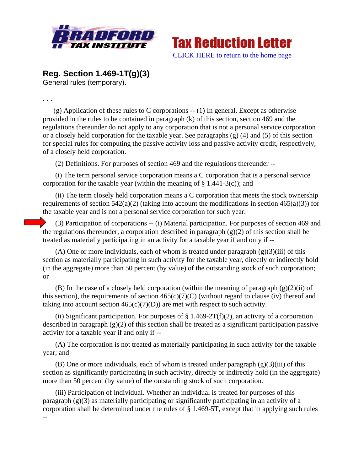



**Reg. Section 1.469-1T(g)(3)**

General rules (temporary).

**. . .** 

(g) Application of these rules to C corporations -- (1) In general. Except as otherwise provided in the rules to be contained in paragraph (k) of this section, section 469 and the regulations thereunder do not apply to any corporation that is not a personal service corporation or a closely held corporation for the taxable year. See paragraphs (g) (4) and (5) of this section for special rules for computing the passive activity loss and passive activity credit, respectively, of a closely held corporation.

(2) Definitions. For purposes of section 469 and the regulations thereunder --

 (i) The term personal service corporation means a C corporation that is a personal service corporation for the taxable year (within the meaning of  $\S$  1.441-3(c)); and

 (ii) The term closely held corporation means a C corporation that meets the stock ownership requirements of section  $542(a)(2)$  (taking into account the modifications in section  $465(a)(3)$ ) for the taxable year and is not a personal service corporation for such year.

 (3) Participation of corporations -- (i) Material participation. For purposes of section 469 and the regulations thereunder, a corporation described in paragraph  $(g)(2)$  of this section shall be treated as materially participating in an activity for a taxable year if and only if --

(A) One or more individuals, each of whom is treated under paragraph  $(g)(3)(iii)$  of this section as materially participating in such activity for the taxable year, directly or indirectly hold (in the aggregate) more than 50 percent (by value) of the outstanding stock of such corporation; or

(B) In the case of a closely held corporation (within the meaning of paragraph  $(g)(2)(ii)$  of this section), the requirements of section  $465(c)(7)(C)$  (without regard to clause (iv) thereof and taking into account section  $465(c)(7)(D)$  are met with respect to such activity.

(ii) Significant participation. For purposes of  $\S 1.469-2T(f)(2)$ , an activity of a corporation described in paragraph (g)(2) of this section shall be treated as a significant participation passive activity for a taxable year if and only if --

 (A) The corporation is not treated as materially participating in such activity for the taxable year; and

(B) One or more individuals, each of whom is treated under paragraph  $(g)(3)(iii)$  of this section as significantly participating in such activity, directly or indirectly hold (in the aggregate) more than 50 percent (by value) of the outstanding stock of such corporation.

 (iii) Participation of individual. Whether an individual is treated for purposes of this paragraph (g)(3) as materially participating or significantly participating in an activity of a corporation shall be determined under the rules of § 1.469-5T, except that in applying such rules --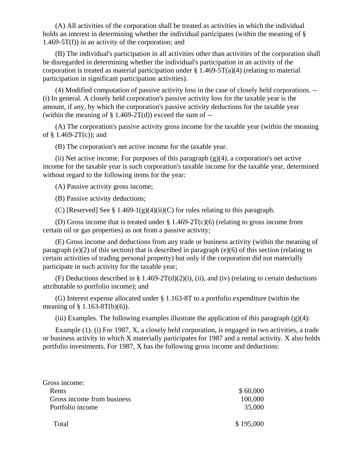(A) All activities of the corporation shall be treated as activities in which the individual holds an interest in determining whether the individual participates (within the meaning of §  $1.469-5T(f)$  in an activity of the corporation; and

 (B) The individual's participation in all activities other than activities of the corporation shall be disregarded in determining whether the individual's participation in an activity of the corporation is treated as material participation under  $\S 1.469-5T(a)(4)$  (relating to material participation in significant participation activities).

 (4) Modified computation of passive activity loss in the case of closely held corporations. -- (i) In general. A closely held corporation's passive activity loss for the taxable year is the amount, if any, by which the corporation's passive activity deductions for the taxable year (within the meaning of  $\S$  1.469-2T(d)) exceed the sum of --

 (A) The corporation's passive activity gross income for the taxable year (within the meaning of  $§$  1.469-2T(c)); and

(B) The corporation's net active income for the taxable year.

(ii) Net active income. For purposes of this paragraph  $(g)(4)$ , a corporation's net active income for the taxable year is such corporation's taxable income for the taxable year, determined without regard to the following items for the year:

(A) Passive activity gross income;

(B) Passive activity deductions;

(C) [Reserved] See § 1.469-1(g)(4)(ii)(C) for rules relating to this paragraph.

 (D) Gross income that is treated under § 1.469-2T(c)(6) (relating to gross income from certain oil or gas properties) as not from a passive activity;

 (E) Gross income and deductions from any trade or business activity (within the meaning of paragraph (e)(2) of this section) that is described in paragraph (e)(6) of this section (relating to certain activities of trading personal property) but only if the corporation did not materially participate in such activity for the taxable year;

(F) Deductions described in § 1.469-2T(d)(2)(i), (ii), and (iv) (relating to certain deductions attributable to portfolio income); and

 (G) Interest expense allocated under § 1.163-8T to a portfolio expenditure (within the meaning of  $\S 1.163-8T(b)(6)$ ).

(iii) Examples. The following examples illustrate the application of this paragraph  $(g)(4)$ :

 Example (1). (i) For 1987, X, a closely held corporation, is engaged in two activities, a trade or business activity in which X materially participates for 1987 and a rental activity. X also holds portfolio investments. For 1987, X has the following gross income and deductions:

| Gross income:              |           |
|----------------------------|-----------|
| Rents                      | \$60,000  |
| Gross income from business | 100,000   |
| Portfolio income           | 35,000    |
| Total                      | \$195,000 |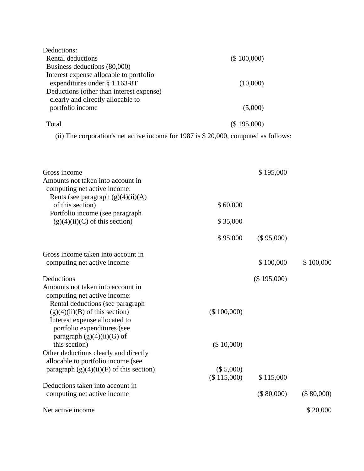| Deductions:                                                                           |             |  |
|---------------------------------------------------------------------------------------|-------------|--|
| Rental deductions                                                                     | (\$100,000) |  |
| Business deductions (80,000)                                                          |             |  |
| Interest expense allocable to portfolio                                               |             |  |
| expenditures under $\S$ 1.163-8T                                                      | (10,000)    |  |
| Deductions (other than interest expense)                                              |             |  |
| clearly and directly allocable to                                                     |             |  |
| portfolio income                                                                      | (5,000)     |  |
| Total                                                                                 | (\$195,000) |  |
| (ii) The corporation's net active income for 1987 is $$20,000$ , computed as follows: |             |  |

| Gross income                               |             | \$195,000   |            |
|--------------------------------------------|-------------|-------------|------------|
| Amounts not taken into account in          |             |             |            |
| computing net active income:               |             |             |            |
| Rents (see paragraph $(g)(4)(ii)(A)$       |             |             |            |
| of this section)                           | \$60,000    |             |            |
| Portfolio income (see paragraph            |             |             |            |
| $(g)(4)(ii)(C)$ of this section)           | \$35,000    |             |            |
|                                            | \$95,000    | (\$95,000)  |            |
| Gross income taken into account in         |             |             |            |
| computing net active income                |             | \$100,000   | \$100,000  |
| Deductions                                 |             | (\$195,000) |            |
| Amounts not taken into account in          |             |             |            |
| computing net active income:               |             |             |            |
| Rental deductions (see paragraph           |             |             |            |
| $(g)(4)(ii)(B)$ of this section)           | (\$100,000) |             |            |
| Interest expense allocated to              |             |             |            |
| portfolio expenditures (see                |             |             |            |
| paragraph $(g)(4)(ii)(G)$ of               |             |             |            |
| this section)                              | (\$10,000)  |             |            |
| Other deductions clearly and directly      |             |             |            |
| allocable to portfolio income (see         |             |             |            |
| paragraph $(g)(4)(ii)(F)$ of this section) | (\$ 5,000)  |             |            |
|                                            | (\$115,000) | \$115,000   |            |
| Deductions taken into account in           |             |             |            |
| computing net active income                |             | (\$ 80,000) | (\$80,000) |
| Net active income                          |             |             | \$20,000   |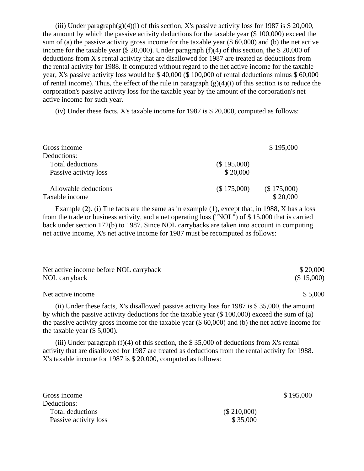(iii) Under paragraph(g)(4)(i) of this section, X's passive activity loss for 1987 is \$ 20,000, the amount by which the passive activity deductions for the taxable year (\$ 100,000) exceed the sum of (a) the passive activity gross income for the taxable year (\$ 60,000) and (b) the net active income for the taxable year (\$ 20,000). Under paragraph (f)(4) of this section, the \$ 20,000 of deductions from X's rental activity that are disallowed for 1987 are treated as deductions from the rental activity for 1988. If computed without regard to the net active income for the taxable year, X's passive activity loss would be \$ 40,000 (\$ 100,000 of rental deductions minus \$ 60,000 of rental income). Thus, the effect of the rule in paragraph  $(g)(4)(i)$  of this section is to reduce the corporation's passive activity loss for the taxable year by the amount of the corporation's net active income for such year.

(iv) Under these facts, X's taxable income for 1987 is \$ 20,000, computed as follows:

| Gross income            |             | \$195,000   |
|-------------------------|-------------|-------------|
| Deductions:             |             |             |
| <b>Total deductions</b> | (\$195,000) |             |
| Passive activity loss   | \$20,000    |             |
| Allowable deductions    | (\$175,000) | (\$175,000) |
| Taxable income          |             | \$20,000    |

 Example (2). (i) The facts are the same as in example (1), except that, in 1988, X has a loss from the trade or business activity, and a net operating loss ("NOL") of \$ 15,000 that is carried back under section 172(b) to 1987. Since NOL carrybacks are taken into account in computing net active income, X's net active income for 1987 must be recomputed as follows:

| Net active income before NOL carryback                                                                 | \$20,000   |
|--------------------------------------------------------------------------------------------------------|------------|
| NOL carryback                                                                                          | (\$15,000) |
| Net active income                                                                                      | \$5,000    |
| (ii) Under these facts, X's disallowed passive activity loss for 1987 is \$35,000, the amount          |            |
| by which the passive activity deductions for the taxable year $(\$ 100,000)$ exceed the sum of (a)     |            |
| the passive activity gross income for the taxable year $(\$ 60,000)$ and (b) the net active income for |            |
| the taxable year $(\$ 5,000)$ .                                                                        |            |

(iii) Under paragraph  $(f)(4)$  of this section, the \$35,000 of deductions from X's rental activity that are disallowed for 1987 are treated as deductions from the rental activity for 1988. X's taxable income for 1987 is \$ 20,000, computed as follows:

| \$195,000   |
|-------------|
|             |
| (\$210,000) |
| \$35,000    |
|             |